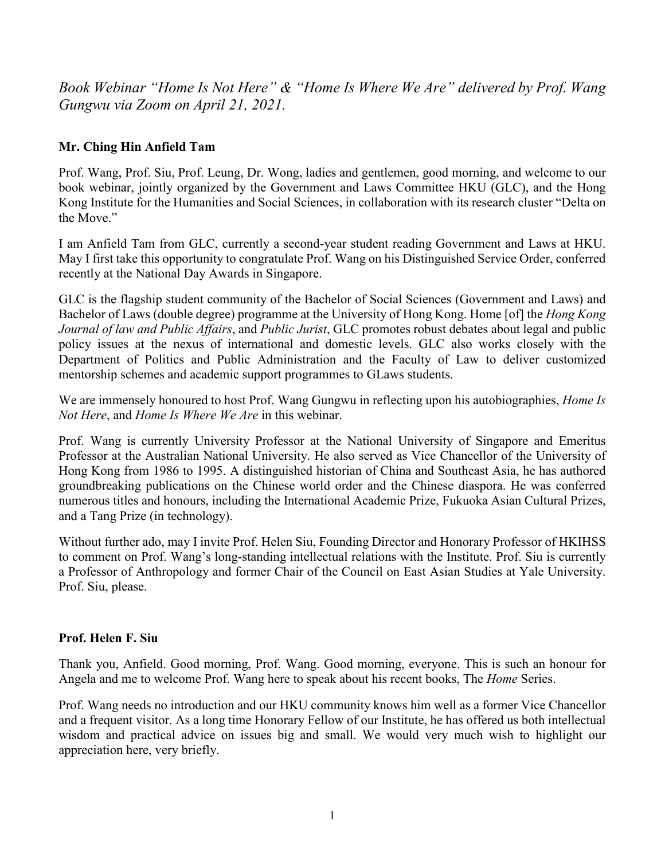*Book Webinar "Home Is Not Here" & "Home Is Where We Are" delivered by Prof. Wang Gungwu via Zoom on April 21, 2021.*

# **Mr. Ching Hin Anfield Tam**

Prof. Wang, Prof. Siu, Prof. Leung, Dr. Wong, ladies and gentlemen, good morning, and welcome to our book webinar, jointly organized by the Government and Laws Committee HKU (GLC), and the Hong Kong Institute for the Humanities and Social Sciences, in collaboration with its research cluster "Delta on the Move."

I am Anfield Tam from GLC, currently a second-year student reading Government and Laws at HKU. May I first take this opportunity to congratulate Prof. Wang on his Distinguished Service Order, conferred recently at the National Day Awards in Singapore.

GLC is the flagship student community of the Bachelor of Social Sciences (Government and Laws) and Bachelor of Laws (double degree) programme at the University of Hong Kong. Home [of] the *Hong Kong Journal of law and Public Affairs*, and *Public Jurist*, GLC promotes robust debates about legal and public policy issues at the nexus of international and domestic levels. GLC also works closely with the Department of Politics and Public Administration and the Faculty of Law to deliver customized mentorship schemes and academic support programmes to GLaws students.

We are immensely honoured to host Prof. Wang Gungwu in reflecting upon his autobiographies, *Home Is Not Here*, and *Home Is Where We Are* in this webinar.

Prof. Wang is currently University Professor at the National University of Singapore and Emeritus Professor at the Australian National University. He also served as Vice Chancellor of the University of Hong Kong from 1986 to 1995. A distinguished historian of China and Southeast Asia, he has authored groundbreaking publications on the Chinese world order and the Chinese diaspora. He was conferred numerous titles and honours, including the International Academic Prize, Fukuoka Asian Cultural Prizes, and a Tang Prize (in technology).

Without further ado, may I invite Prof. Helen Siu, Founding Director and Honorary Professor of HKIHSS to comment on Prof. Wang's long-standing intellectual relations with the Institute. Prof. Siu is currently a Professor of Anthropology and former Chair of the Council on East Asian Studies at Yale University. Prof. Siu, please.

# **Prof. Helen F. Siu**

Thank you, Anfield. Good morning, Prof. Wang. Good morning, everyone. This is such an honour for Angela and me to welcome Prof. Wang here to speak about his recent books, The *Home* Series.

Prof. Wang needs no introduction and our HKU community knows him well as a former Vice Chancellor and a frequent visitor. As a long time Honorary Fellow of our Institute, he has offered us both intellectual wisdom and practical advice on issues big and small. We would very much wish to highlight our appreciation here, very briefly.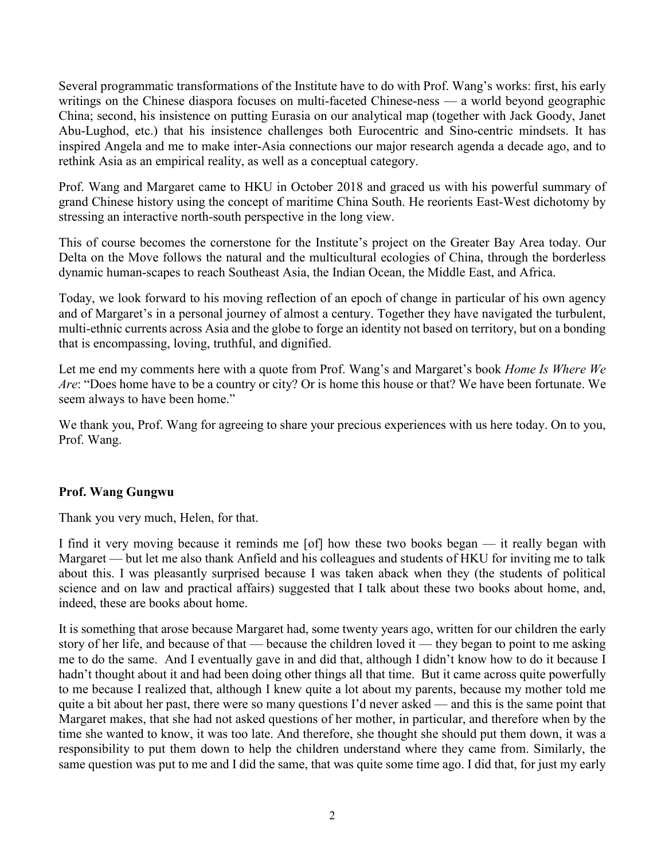Several programmatic transformations of the Institute have to do with Prof. Wang's works: first, his early writings on the Chinese diaspora focuses on multi-faceted Chinese-ness — a world beyond geographic China; second, his insistence on putting Eurasia on our analytical map (together with Jack Goody, Janet Abu-Lughod, etc.) that his insistence challenges both Eurocentric and Sino-centric mindsets. It has inspired Angela and me to make inter-Asia connections our major research agenda a decade ago, and to rethink Asia as an empirical reality, as well as a conceptual category.

Prof. Wang and Margaret came to HKU in October 2018 and graced us with his powerful summary of grand Chinese history using the concept of maritime China South. He reorients East-West dichotomy by stressing an interactive north-south perspective in the long view.

This of course becomes the cornerstone for the Institute's project on the Greater Bay Area today. Our Delta on the Move follows the natural and the multicultural ecologies of China, through the borderless dynamic human-scapes to reach Southeast Asia, the Indian Ocean, the Middle East, and Africa.

Today, we look forward to his moving reflection of an epoch of change in particular of his own agency and of Margaret's in a personal journey of almost a century. Together they have navigated the turbulent, multi-ethnic currents across Asia and the globe to forge an identity not based on territory, but on a bonding that is encompassing, loving, truthful, and dignified.

Let me end my comments here with a quote from Prof. Wang's and Margaret's book *Home Is Where We Are*: "Does home have to be a country or city? Or is home this house or that? We have been fortunate. We seem always to have been home."

We thank you, Prof. Wang for agreeing to share your precious experiences with us here today. On to you, Prof. Wang.

### **Prof. Wang Gungwu**

Thank you very much, Helen, for that.

I find it very moving because it reminds me [of] how these two books began — it really began with Margaret — but let me also thank Anfield and his colleagues and students of HKU for inviting me to talk about this. I was pleasantly surprised because I was taken aback when they (the students of political science and on law and practical affairs) suggested that I talk about these two books about home, and, indeed, these are books about home.

It is something that arose because Margaret had, some twenty years ago, written for our children the early story of her life, and because of that — because the children loved it — they began to point to me asking me to do the same. And I eventually gave in and did that, although I didn't know how to do it because I hadn't thought about it and had been doing other things all that time. But it came across quite powerfully to me because I realized that, although I knew quite a lot about my parents, because my mother told me quite a bit about her past, there were so many questions I'd never asked — and this is the same point that Margaret makes, that she had not asked questions of her mother, in particular, and therefore when by the time she wanted to know, it was too late. And therefore, she thought she should put them down, it was a responsibility to put them down to help the children understand where they came from. Similarly, the same question was put to me and I did the same, that was quite some time ago. I did that, for just my early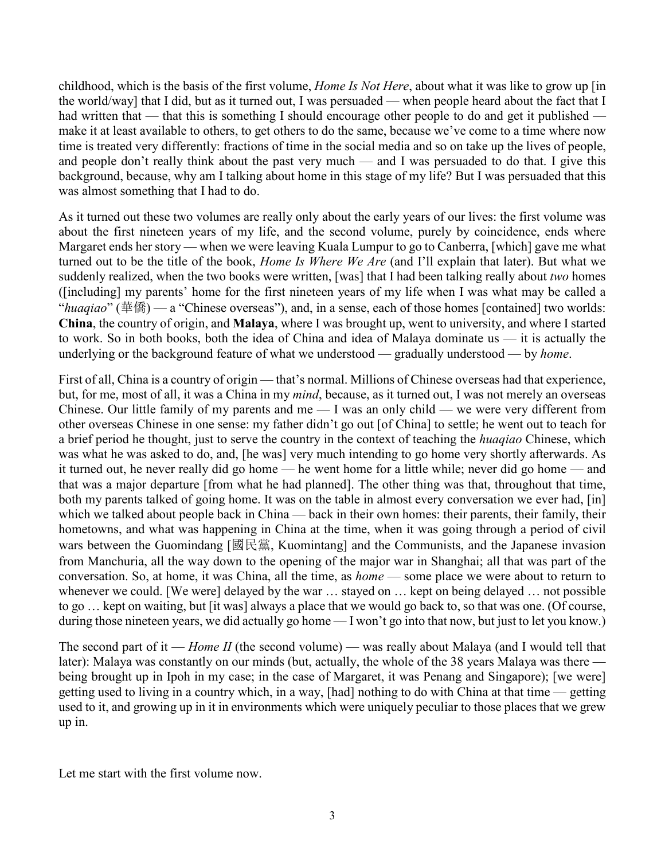childhood, which is the basis of the first volume, *Home Is Not Here*, about what it was like to grow up [in the world/way] that I did, but as it turned out, I was persuaded — when people heard about the fact that I had written that — that this is something I should encourage other people to do and get it published make it at least available to others, to get others to do the same, because we've come to a time where now time is treated very differently: fractions of time in the social media and so on take up the lives of people, and people don't really think about the past very much — and I was persuaded to do that. I give this background, because, why am I talking about home in this stage of my life? But I was persuaded that this was almost something that I had to do.

As it turned out these two volumes are really only about the early years of our lives: the first volume was about the first nineteen years of my life, and the second volume, purely by coincidence, ends where Margaret ends her story — when we were leaving Kuala Lumpur to go to Canberra, [which] gave me what turned out to be the title of the book, *Home Is Where We Are* (and I'll explain that later). But what we suddenly realized, when the two books were written, [was] that I had been talking really about *two* homes ([including] my parents' home for the first nineteen years of my life when I was what may be called a "*huaqiao*" (華僑) — a "Chinese overseas"), and, in a sense, each of those homes [contained] two worlds: **China**, the country of origin, and **Malaya**, where I was brought up, went to university, and where I started to work. So in both books, both the idea of China and idea of Malaya dominate us — it is actually the underlying or the background feature of what we understood — gradually understood — by *home*.

First of all, China is a country of origin — that's normal. Millions of Chinese overseas had that experience, but, for me, most of all, it was a China in my *mind*, because, as it turned out, I was not merely an overseas Chinese. Our little family of my parents and me — I was an only child — we were very different from other overseas Chinese in one sense: my father didn't go out [of China] to settle; he went out to teach for a brief period he thought, just to serve the country in the context of teaching the *huaqiao* Chinese, which was what he was asked to do, and, [he was] very much intending to go home very shortly afterwards. As it turned out, he never really did go home — he went home for a little while; never did go home — and that was a major departure [from what he had planned]. The other thing was that, throughout that time, both my parents talked of going home. It was on the table in almost every conversation we ever had, [in] which we talked about people back in China — back in their own homes: their parents, their family, their hometowns, and what was happening in China at the time, when it was going through a period of civil wars between the Guomindang [國民黨, Kuomintang] and the Communists, and the Japanese invasion from Manchuria, all the way down to the opening of the major war in Shanghai; all that was part of the conversation. So, at home, it was China, all the time, as *home* — some place we were about to return to whenever we could. [We were] delayed by the war … stayed on … kept on being delayed … not possible to go … kept on waiting, but [it was] always a place that we would go back to, so that was one. (Of course, during those nineteen years, we did actually go home — I won't go into that now, but just to let you know.)

The second part of it — *Home II* (the second volume) — was really about Malaya (and I would tell that later): Malaya was constantly on our minds (but, actually, the whole of the 38 years Malaya was there being brought up in Ipoh in my case; in the case of Margaret, it was Penang and Singapore); [we were] getting used to living in a country which, in a way, [had] nothing to do with China at that time — getting used to it, and growing up in it in environments which were uniquely peculiar to those places that we grew up in.

Let me start with the first volume now.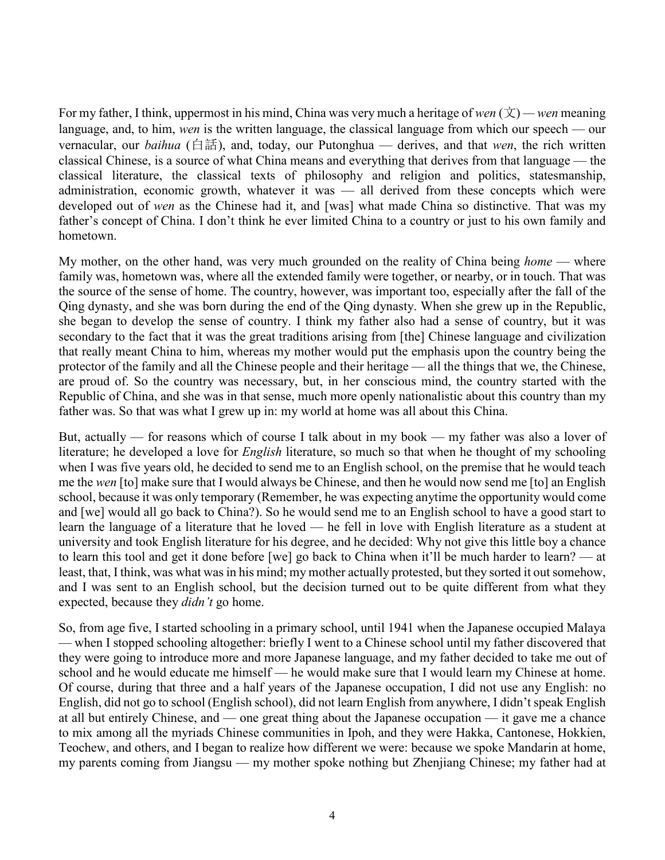For my father, I think, uppermost in his mind, China was very much a heritage of *wen*  $(\dot{\chi})$  — *wen* meaning language, and, to him, *wen* is the written language, the classical language from which our speech — our vernacular, our *baihua* (白話), and, today, our Putonghua — derives, and that *wen*, the rich written classical Chinese, is a source of what China means and everything that derives from that language — the classical literature, the classical texts of philosophy and religion and politics, statesmanship, administration, economic growth, whatever it was — all derived from these concepts which were developed out of *wen* as the Chinese had it, and [was] what made China so distinctive. That was my father's concept of China. I don't think he ever limited China to a country or just to his own family and hometown.

My mother, on the other hand, was very much grounded on the reality of China being *home* — where family was, hometown was, where all the extended family were together, or nearby, or in touch. That was the source of the sense of home. The country, however, was important too, especially after the fall of the Qing dynasty, and she was born during the end of the Qing dynasty. When she grew up in the Republic, she began to develop the sense of country. I think my father also had a sense of country, but it was secondary to the fact that it was the great traditions arising from [the] Chinese language and civilization that really meant China to him, whereas my mother would put the emphasis upon the country being the protector of the family and all the Chinese people and their heritage — all the things that we, the Chinese, are proud of. So the country was necessary, but, in her conscious mind, the country started with the Republic of China, and she was in that sense, much more openly nationalistic about this country than my father was. So that was what I grew up in: my world at home was all about this China.

But, actually — for reasons which of course I talk about in my book — my father was also a lover of literature; he developed a love for *English* literature, so much so that when he thought of my schooling when I was five years old, he decided to send me to an English school, on the premise that he would teach me the *wen* [to] make sure that I would always be Chinese, and then he would now send me [to] an English school, because it was only temporary (Remember, he was expecting anytime the opportunity would come and [we] would all go back to China?). So he would send me to an English school to have a good start to learn the language of a literature that he loved — he fell in love with English literature as a student at university and took English literature for his degree, and he decided: Why not give this little boy a chance to learn this tool and get it done before [we] go back to China when it'll be much harder to learn? — at least, that, I think, was what was in his mind; my mother actually protested, but they sorted it out somehow, and I was sent to an English school, but the decision turned out to be quite different from what they expected, because they *didn't* go home.

So, from age five, I started schooling in a primary school, until 1941 when the Japanese occupied Malaya — when I stopped schooling altogether: briefly I went to a Chinese school until my father discovered that they were going to introduce more and more Japanese language, and my father decided to take me out of school and he would educate me himself — he would make sure that I would learn my Chinese at home. Of course, during that three and a half years of the Japanese occupation, I did not use any English: no English, did not go to school (English school), did not learn English from anywhere, I didn't speak English at all but entirely Chinese, and — one great thing about the Japanese occupation — it gave me a chance to mix among all the myriads Chinese communities in Ipoh, and they were Hakka, Cantonese, Hokkien, Teochew, and others, and I began to realize how different we were: because we spoke Mandarin at home, my parents coming from Jiangsu — my mother spoke nothing but Zhenjiang Chinese; my father had at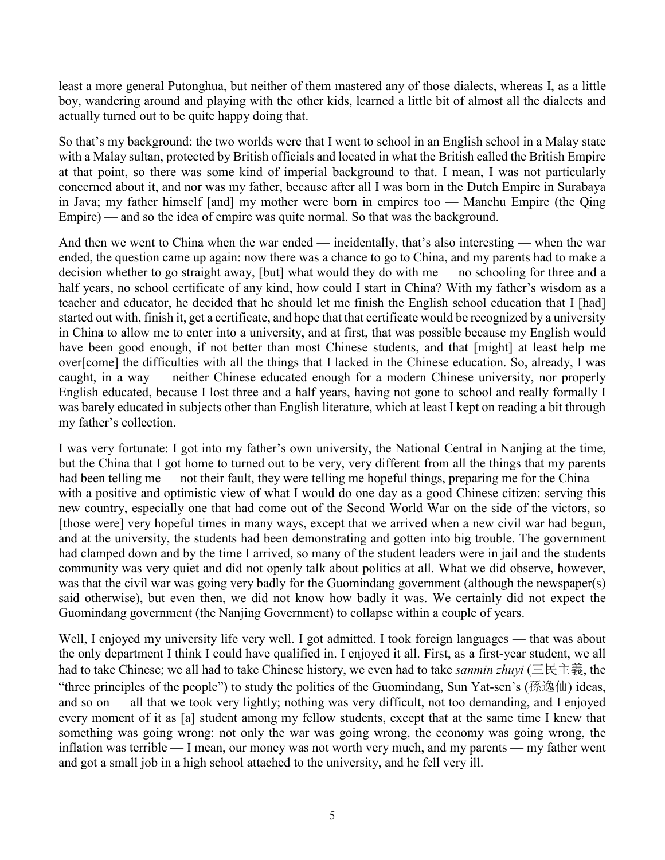least a more general Putonghua, but neither of them mastered any of those dialects, whereas I, as a little boy, wandering around and playing with the other kids, learned a little bit of almost all the dialects and actually turned out to be quite happy doing that.

So that's my background: the two worlds were that I went to school in an English school in a Malay state with a Malay sultan, protected by British officials and located in what the British called the British Empire at that point, so there was some kind of imperial background to that. I mean, I was not particularly concerned about it, and nor was my father, because after all I was born in the Dutch Empire in Surabaya in Java; my father himself [and] my mother were born in empires too — Manchu Empire (the Qing Empire) — and so the idea of empire was quite normal. So that was the background.

And then we went to China when the war ended — incidentally, that's also interesting — when the war ended, the question came up again: now there was a chance to go to China, and my parents had to make a decision whether to go straight away, [but] what would they do with me — no schooling for three and a half years, no school certificate of any kind, how could I start in China? With my father's wisdom as a teacher and educator, he decided that he should let me finish the English school education that I [had] started out with, finish it, get a certificate, and hope that that certificate would be recognized by a university in China to allow me to enter into a university, and at first, that was possible because my English would have been good enough, if not better than most Chinese students, and that [might] at least help me over[come] the difficulties with all the things that I lacked in the Chinese education. So, already, I was caught, in a way — neither Chinese educated enough for a modern Chinese university, nor properly English educated, because I lost three and a half years, having not gone to school and really formally I was barely educated in subjects other than English literature, which at least I kept on reading a bit through my father's collection.

I was very fortunate: I got into my father's own university, the National Central in Nanjing at the time, but the China that I got home to turned out to be very, very different from all the things that my parents had been telling me — not their fault, they were telling me hopeful things, preparing me for the China with a positive and optimistic view of what I would do one day as a good Chinese citizen: serving this new country, especially one that had come out of the Second World War on the side of the victors, so [those were] very hopeful times in many ways, except that we arrived when a new civil war had begun, and at the university, the students had been demonstrating and gotten into big trouble. The government had clamped down and by the time I arrived, so many of the student leaders were in jail and the students community was very quiet and did not openly talk about politics at all. What we did observe, however, was that the civil war was going very badly for the Guomindang government (although the newspaper(s) said otherwise), but even then, we did not know how badly it was. We certainly did not expect the Guomindang government (the Nanjing Government) to collapse within a couple of years.

Well, I enjoyed my university life very well. I got admitted. I took foreign languages — that was about the only department I think I could have qualified in. I enjoyed it all. First, as a first-year student, we all had to take Chinese; we all had to take Chinese history, we even had to take *sanmin zhuyi* (三民主義, the "three principles of the people") to study the politics of the Guomindang, Sun Yat-sen's (孫逸仙) ideas, and so on — all that we took very lightly; nothing was very difficult, not too demanding, and I enjoyed every moment of it as [a] student among my fellow students, except that at the same time I knew that something was going wrong: not only the war was going wrong, the economy was going wrong, the inflation was terrible — I mean, our money was not worth very much, and my parents — my father went and got a small job in a high school attached to the university, and he fell very ill.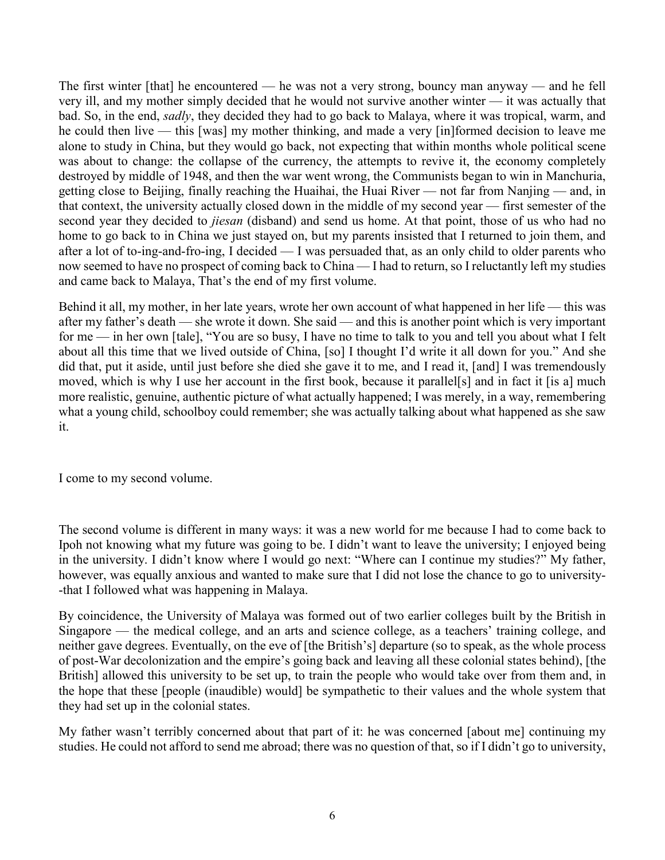The first winter [that] he encountered — he was not a very strong, bouncy man anyway — and he fell very ill, and my mother simply decided that he would not survive another winter — it was actually that bad. So, in the end, *sadly*, they decided they had to go back to Malaya, where it was tropical, warm, and he could then live — this [was] my mother thinking, and made a very [in]formed decision to leave me alone to study in China, but they would go back, not expecting that within months whole political scene was about to change: the collapse of the currency, the attempts to revive it, the economy completely destroyed by middle of 1948, and then the war went wrong, the Communists began to win in Manchuria, getting close to Beijing, finally reaching the Huaihai, the Huai River — not far from Nanjing — and, in that context, the university actually closed down in the middle of my second year — first semester of the second year they decided to *jiesan* (disband) and send us home. At that point, those of us who had no home to go back to in China we just stayed on, but my parents insisted that I returned to join them, and after a lot of to-ing-and-fro-ing, I decided — I was persuaded that, as an only child to older parents who now seemed to have no prospect of coming back to China — I had to return, so I reluctantly left my studies and came back to Malaya, That's the end of my first volume.

Behind it all, my mother, in her late years, wrote her own account of what happened in her life — this was after my father's death — she wrote it down. She said — and this is another point which is very important for me — in her own [tale], "You are so busy, I have no time to talk to you and tell you about what I felt about all this time that we lived outside of China, [so] I thought I'd write it all down for you." And she did that, put it aside, until just before she died she gave it to me, and I read it, [and] I was tremendously moved, which is why I use her account in the first book, because it parallel[s] and in fact it [is a] much more realistic, genuine, authentic picture of what actually happened; I was merely, in a way, remembering what a young child, schoolboy could remember; she was actually talking about what happened as she saw it.

I come to my second volume.

The second volume is different in many ways: it was a new world for me because I had to come back to Ipoh not knowing what my future was going to be. I didn't want to leave the university; I enjoyed being in the university. I didn't know where I would go next: "Where can I continue my studies?" My father, however, was equally anxious and wanted to make sure that I did not lose the chance to go to university- -that I followed what was happening in Malaya.

By coincidence, the University of Malaya was formed out of two earlier colleges built by the British in Singapore — the medical college, and an arts and science college, as a teachers' training college, and neither gave degrees. Eventually, on the eve of [the British's] departure (so to speak, as the whole process of post-War decolonization and the empire's going back and leaving all these colonial states behind), [the British] allowed this university to be set up, to train the people who would take over from them and, in the hope that these [people (inaudible) would] be sympathetic to their values and the whole system that they had set up in the colonial states.

My father wasn't terribly concerned about that part of it: he was concerned [about me] continuing my studies. He could not afford to send me abroad; there was no question of that, so if I didn't go to university,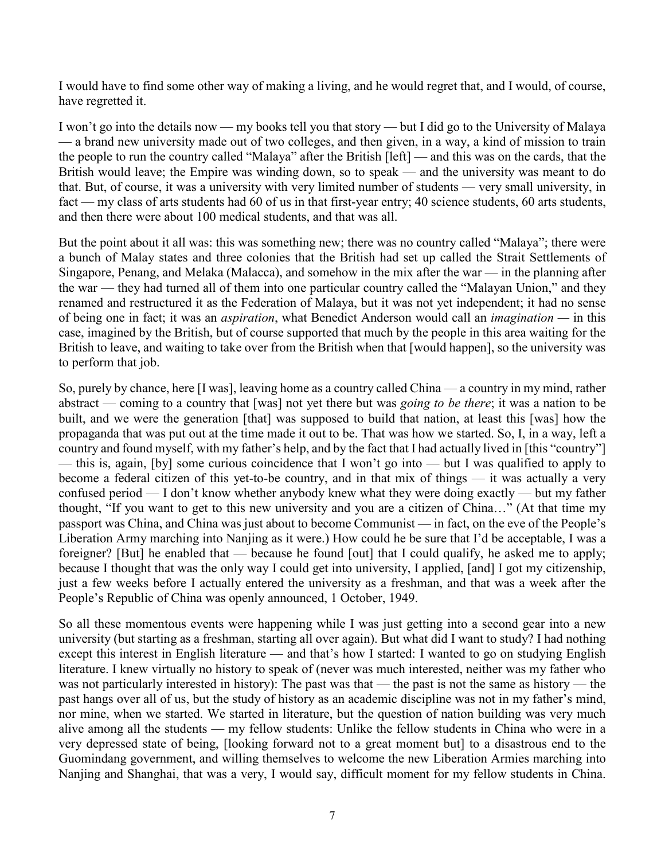I would have to find some other way of making a living, and he would regret that, and I would, of course, have regretted it.

I won't go into the details now — my books tell you that story — but I did go to the University of Malaya — a brand new university made out of two colleges, and then given, in a way, a kind of mission to train the people to run the country called "Malaya" after the British [left] — and this was on the cards, that the British would leave; the Empire was winding down, so to speak — and the university was meant to do that. But, of course, it was a university with very limited number of students — very small university, in fact — my class of arts students had 60 of us in that first-year entry; 40 science students, 60 arts students, and then there were about 100 medical students, and that was all.

But the point about it all was: this was something new; there was no country called "Malaya"; there were a bunch of Malay states and three colonies that the British had set up called the Strait Settlements of Singapore, Penang, and Melaka (Malacca), and somehow in the mix after the war — in the planning after the war — they had turned all of them into one particular country called the "Malayan Union," and they renamed and restructured it as the Federation of Malaya, but it was not yet independent; it had no sense of being one in fact; it was an *aspiration*, what Benedict Anderson would call an *imagination —* in this case, imagined by the British, but of course supported that much by the people in this area waiting for the British to leave, and waiting to take over from the British when that [would happen], so the university was to perform that job.

So, purely by chance, here [I was], leaving home as a country called China — a country in my mind, rather abstract — coming to a country that [was] not yet there but was *going to be there*; it was a nation to be built, and we were the generation [that] was supposed to build that nation, at least this [was] how the propaganda that was put out at the time made it out to be. That was how we started. So, I, in a way, left a country and found myself, with my father's help, and by the fact that I had actually lived in [this "country"] — this is, again, [by] some curious coincidence that I won't go into — but I was qualified to apply to become a federal citizen of this yet-to-be country, and in that mix of things — it was actually a very confused period — I don't know whether anybody knew what they were doing exactly — but my father thought, "If you want to get to this new university and you are a citizen of China…" (At that time my passport was China, and China was just about to become Communist — in fact, on the eve of the People's Liberation Army marching into Nanjing as it were.) How could he be sure that I'd be acceptable, I was a foreigner? [But] he enabled that — because he found [out] that I could qualify, he asked me to apply; because I thought that was the only way I could get into university, I applied, [and] I got my citizenship, just a few weeks before I actually entered the university as a freshman, and that was a week after the People's Republic of China was openly announced, 1 October, 1949.

So all these momentous events were happening while I was just getting into a second gear into a new university (but starting as a freshman, starting all over again). But what did I want to study? I had nothing except this interest in English literature — and that's how I started: I wanted to go on studying English literature. I knew virtually no history to speak of (never was much interested, neither was my father who was not particularly interested in history): The past was that — the past is not the same as history — the past hangs over all of us, but the study of history as an academic discipline was not in my father's mind, nor mine, when we started. We started in literature, but the question of nation building was very much alive among all the students — my fellow students: Unlike the fellow students in China who were in a very depressed state of being, [looking forward not to a great moment but] to a disastrous end to the Guomindang government, and willing themselves to welcome the new Liberation Armies marching into Nanjing and Shanghai, that was a very, I would say, difficult moment for my fellow students in China.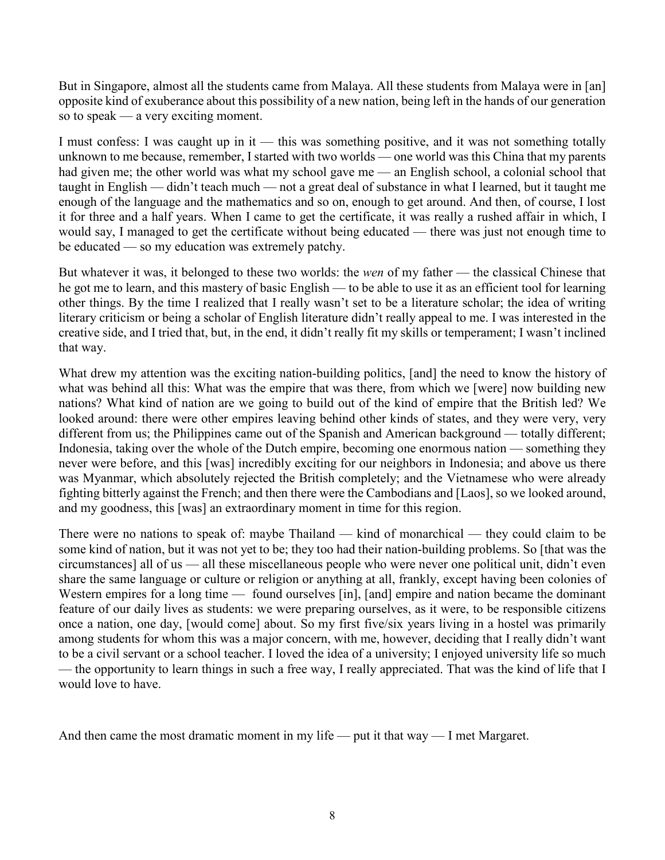But in Singapore, almost all the students came from Malaya. All these students from Malaya were in [an] opposite kind of exuberance about this possibility of a new nation, being left in the hands of our generation so to speak — a very exciting moment.

I must confess: I was caught up in it — this was something positive, and it was not something totally unknown to me because, remember, I started with two worlds — one world was this China that my parents had given me; the other world was what my school gave me — an English school, a colonial school that taught in English — didn't teach much — not a great deal of substance in what I learned, but it taught me enough of the language and the mathematics and so on, enough to get around. And then, of course, I lost it for three and a half years. When I came to get the certificate, it was really a rushed affair in which, I would say, I managed to get the certificate without being educated — there was just not enough time to be educated — so my education was extremely patchy.

But whatever it was, it belonged to these two worlds: the *wen* of my father — the classical Chinese that he got me to learn, and this mastery of basic English — to be able to use it as an efficient tool for learning other things. By the time I realized that I really wasn't set to be a literature scholar; the idea of writing literary criticism or being a scholar of English literature didn't really appeal to me. I was interested in the creative side, and I tried that, but, in the end, it didn't really fit my skills or temperament; I wasn't inclined that way.

What drew my attention was the exciting nation-building politics, [and] the need to know the history of what was behind all this: What was the empire that was there, from which we [were] now building new nations? What kind of nation are we going to build out of the kind of empire that the British led? We looked around: there were other empires leaving behind other kinds of states, and they were very, very different from us; the Philippines came out of the Spanish and American background — totally different; Indonesia, taking over the whole of the Dutch empire, becoming one enormous nation — something they never were before, and this [was] incredibly exciting for our neighbors in Indonesia; and above us there was Myanmar, which absolutely rejected the British completely; and the Vietnamese who were already fighting bitterly against the French; and then there were the Cambodians and [Laos], so we looked around, and my goodness, this [was] an extraordinary moment in time for this region.

There were no nations to speak of: maybe Thailand — kind of monarchical — they could claim to be some kind of nation, but it was not yet to be; they too had their nation-building problems. So [that was the circumstances] all of us — all these miscellaneous people who were never one political unit, didn't even share the same language or culture or religion or anything at all, frankly, except having been colonies of Western empires for a long time — found ourselves [in], [and] empire and nation became the dominant feature of our daily lives as students: we were preparing ourselves, as it were, to be responsible citizens once a nation, one day, [would come] about. So my first five/six years living in a hostel was primarily among students for whom this was a major concern, with me, however, deciding that I really didn't want to be a civil servant or a school teacher. I loved the idea of a university; I enjoyed university life so much — the opportunity to learn things in such a free way, I really appreciated. That was the kind of life that I would love to have.

And then came the most dramatic moment in my life — put it that  $way - I$  met Margaret.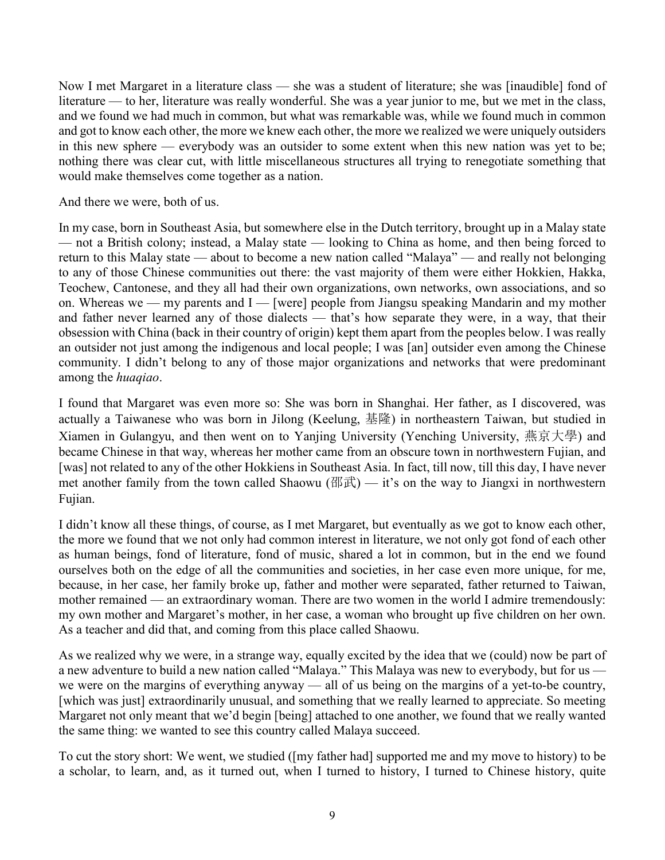Now I met Margaret in a literature class — she was a student of literature; she was [inaudible] fond of literature — to her, literature was really wonderful. She was a year junior to me, but we met in the class, and we found we had much in common, but what was remarkable was, while we found much in common and got to know each other, the more we knew each other, the more we realized we were uniquely outsiders in this new sphere — everybody was an outsider to some extent when this new nation was yet to be; nothing there was clear cut, with little miscellaneous structures all trying to renegotiate something that would make themselves come together as a nation.

And there we were, both of us.

In my case, born in Southeast Asia, but somewhere else in the Dutch territory, brought up in a Malay state — not a British colony; instead, a Malay state — looking to China as home, and then being forced to return to this Malay state — about to become a new nation called "Malaya" — and really not belonging to any of those Chinese communities out there: the vast majority of them were either Hokkien, Hakka, Teochew, Cantonese, and they all had their own organizations, own networks, own associations, and so on. Whereas we — my parents and I — [were] people from Jiangsu speaking Mandarin and my mother and father never learned any of those dialects — that's how separate they were, in a way, that their obsession with China (back in their country of origin) kept them apart from the peoples below. I was really an outsider not just among the indigenous and local people; I was [an] outsider even among the Chinese community. I didn't belong to any of those major organizations and networks that were predominant among the *huaqiao*.

I found that Margaret was even more so: She was born in Shanghai. Her father, as I discovered, was actually a Taiwanese who was born in Jilong (Keelung, 基隆) in northeastern Taiwan, but studied in Xiamen in Gulangyu, and then went on to Yanjing University (Yenching University, 燕京大學) and became Chinese in that way, whereas her mother came from an obscure town in northwestern Fujian, and [was] not related to any of the other Hokkiens in Southeast Asia. In fact, till now, till this day, I have never met another family from the town called Shaowu (邵武) — it's on the way to Jiangxi in northwestern Fujian.

I didn't know all these things, of course, as I met Margaret, but eventually as we got to know each other, the more we found that we not only had common interest in literature, we not only got fond of each other as human beings, fond of literature, fond of music, shared a lot in common, but in the end we found ourselves both on the edge of all the communities and societies, in her case even more unique, for me, because, in her case, her family broke up, father and mother were separated, father returned to Taiwan, mother remained — an extraordinary woman. There are two women in the world I admire tremendously: my own mother and Margaret's mother, in her case, a woman who brought up five children on her own. As a teacher and did that, and coming from this place called Shaowu.

As we realized why we were, in a strange way, equally excited by the idea that we (could) now be part of a new adventure to build a new nation called "Malaya." This Malaya was new to everybody, but for us we were on the margins of everything anyway — all of us being on the margins of a yet-to-be country, [which was just] extraordinarily unusual, and something that we really learned to appreciate. So meeting Margaret not only meant that we'd begin [being] attached to one another, we found that we really wanted the same thing: we wanted to see this country called Malaya succeed.

To cut the story short: We went, we studied ([my father had] supported me and my move to history) to be a scholar, to learn, and, as it turned out, when I turned to history, I turned to Chinese history, quite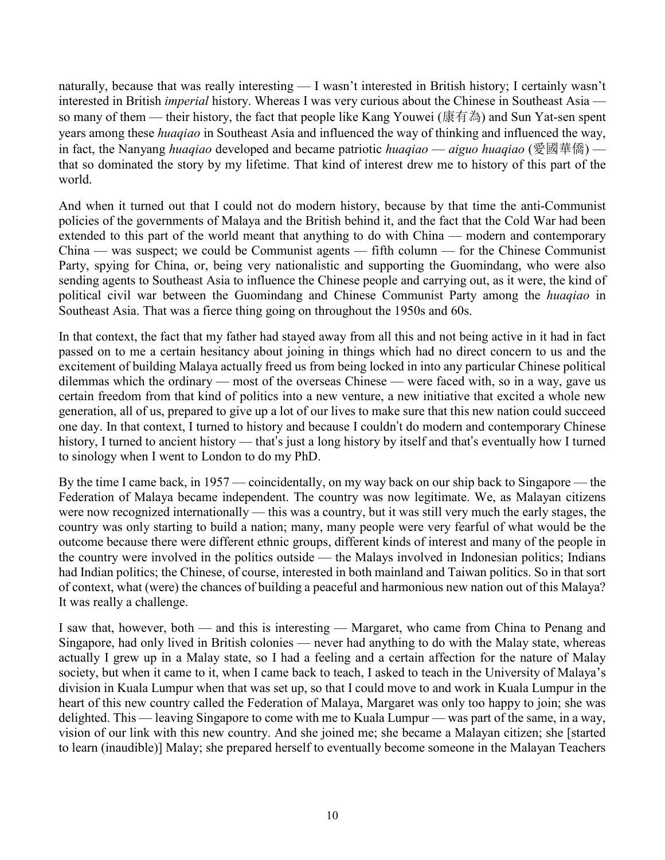naturally, because that was really interesting — I wasn't interested in British history; I certainly wasn't interested in British *imperial* history. Whereas I was very curious about the Chinese in Southeast Asia so many of them — their history, the fact that people like Kang Youwei (康有為) and Sun Yat-sen spent years among these *huaqiao* in Southeast Asia and influenced the way of thinking and influenced the way, in fact, the Nanyang *huaqiao* developed and became patriotic *huaqiao* — *aiguo huaqiao* (愛國華僑) that so dominated the story by my lifetime. That kind of interest drew me to history of this part of the world.

And when it turned out that I could not do modern history, because by that time the anti-Communist policies of the governments of Malaya and the British behind it, and the fact that the Cold War had been extended to this part of the world meant that anything to do with China — modern and contemporary China — was suspect; we could be Communist agents — fifth column — for the Chinese Communist Party, spying for China, or, being very nationalistic and supporting the Guomindang, who were also sending agents to Southeast Asia to influence the Chinese people and carrying out, as it were, the kind of political civil war between the Guomindang and Chinese Communist Party among the *huaqiao* in Southeast Asia. That was a fierce thing going on throughout the 1950s and 60s.

In that context, the fact that my father had stayed away from all this and not being active in it had in fact passed on to me a certain hesitancy about joining in things which had no direct concern to us and the excitement of building Malaya actually freed us from being locked in into any particular Chinese political dilemmas which the ordinary — most of the overseas Chinese — were faced with, so in a way, gave us certain freedom from that kind of politics into a new venture, a new initiative that excited a whole new generation, all of us, prepared to give up a lot of our lives to make sure that this new nation could succeed one day. In that context, I turned to history and because I couldn't do modern and contemporary Chinese history, I turned to ancient history — that's just a long history by itself and that's eventually how I turned to sinology when I went to London to do my PhD.

By the time I came back, in 1957 — coincidentally, on my way back on our ship back to Singapore — the Federation of Malaya became independent. The country was now legitimate. We, as Malayan citizens were now recognized internationally — this was a country, but it was still very much the early stages, the country was only starting to build a nation; many, many people were very fearful of what would be the outcome because there were different ethnic groups, different kinds of interest and many of the people in the country were involved in the politics outside — the Malays involved in Indonesian politics; Indians had Indian politics; the Chinese, of course, interested in both mainland and Taiwan politics. So in that sort of context, what (were) the chances of building a peaceful and harmonious new nation out of this Malaya? It was really a challenge.

I saw that, however, both — and this is interesting — Margaret, who came from China to Penang and Singapore, had only lived in British colonies — never had anything to do with the Malay state, whereas actually I grew up in a Malay state, so I had a feeling and a certain affection for the nature of Malay society, but when it came to it, when I came back to teach, I asked to teach in the University of Malaya's division in Kuala Lumpur when that was set up, so that I could move to and work in Kuala Lumpur in the heart of this new country called the Federation of Malaya, Margaret was only too happy to join; she was delighted. This — leaving Singapore to come with me to Kuala Lumpur — was part of the same, in a way, vision of our link with this new country. And she joined me; she became a Malayan citizen; she [started to learn (inaudible)] Malay; she prepared herself to eventually become someone in the Malayan Teachers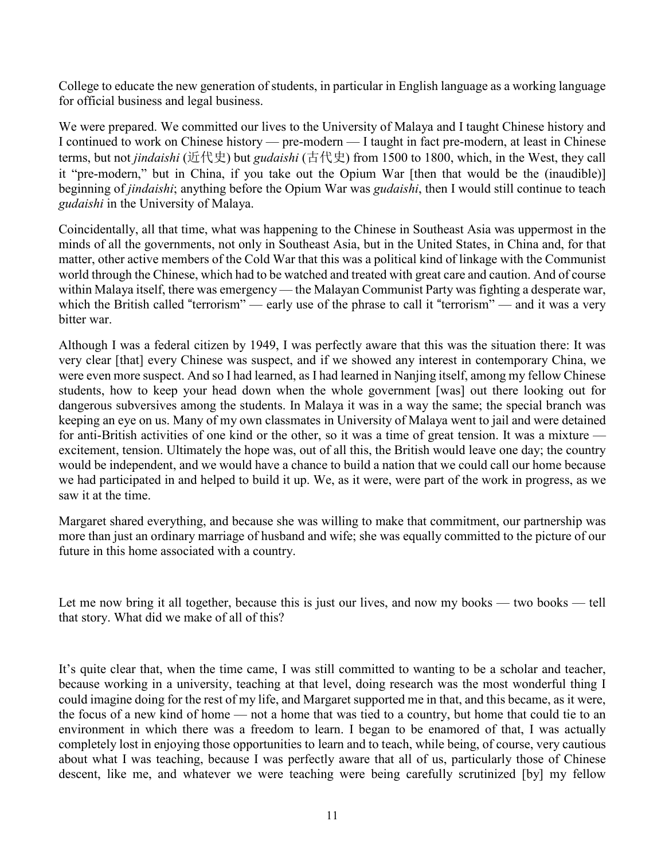College to educate the new generation of students, in particular in English language as a working language for official business and legal business.

We were prepared. We committed our lives to the University of Malaya and I taught Chinese history and I continued to work on Chinese history — pre-modern — I taught in fact pre-modern, at least in Chinese terms, but not *jindaishi* (近代史) but *gudaishi* (古代史) from 1500 to 1800, which, in the West, they call it "pre-modern," but in China, if you take out the Opium War [then that would be the (inaudible)] beginning of *jindaishi*; anything before the Opium War was *gudaishi*, then I would still continue to teach *gudaishi* in the University of Malaya.

Coincidentally, all that time, what was happening to the Chinese in Southeast Asia was uppermost in the minds of all the governments, not only in Southeast Asia, but in the United States, in China and, for that matter, other active members of the Cold War that this was a political kind of linkage with the Communist world through the Chinese, which had to be watched and treated with great care and caution. And of course within Malaya itself, there was emergency — the Malayan Communist Party was fighting a desperate war, which the British called "terrorism" — early use of the phrase to call it "terrorism" — and it was a very bitter war.

Although I was a federal citizen by 1949, I was perfectly aware that this was the situation there: It was very clear [that] every Chinese was suspect, and if we showed any interest in contemporary China, we were even more suspect. And so I had learned, as I had learned in Nanjing itself, among my fellow Chinese students, how to keep your head down when the whole government [was] out there looking out for dangerous subversives among the students. In Malaya it was in a way the same; the special branch was keeping an eye on us. Many of my own classmates in University of Malaya went to jail and were detained for anti-British activities of one kind or the other, so it was a time of great tension. It was a mixture excitement, tension. Ultimately the hope was, out of all this, the British would leave one day; the country would be independent, and we would have a chance to build a nation that we could call our home because we had participated in and helped to build it up. We, as it were, were part of the work in progress, as we saw it at the time.

Margaret shared everything, and because she was willing to make that commitment, our partnership was more than just an ordinary marriage of husband and wife; she was equally committed to the picture of our future in this home associated with a country.

Let me now bring it all together, because this is just our lives, and now my books — two books — tell that story. What did we make of all of this?

It's quite clear that, when the time came, I was still committed to wanting to be a scholar and teacher, because working in a university, teaching at that level, doing research was the most wonderful thing I could imagine doing for the rest of my life, and Margaret supported me in that, and this became, as it were, the focus of a new kind of home — not a home that was tied to a country, but home that could tie to an environment in which there was a freedom to learn. I began to be enamored of that, I was actually completely lost in enjoying those opportunities to learn and to teach, while being, of course, very cautious about what I was teaching, because I was perfectly aware that all of us, particularly those of Chinese descent, like me, and whatever we were teaching were being carefully scrutinized [by] my fellow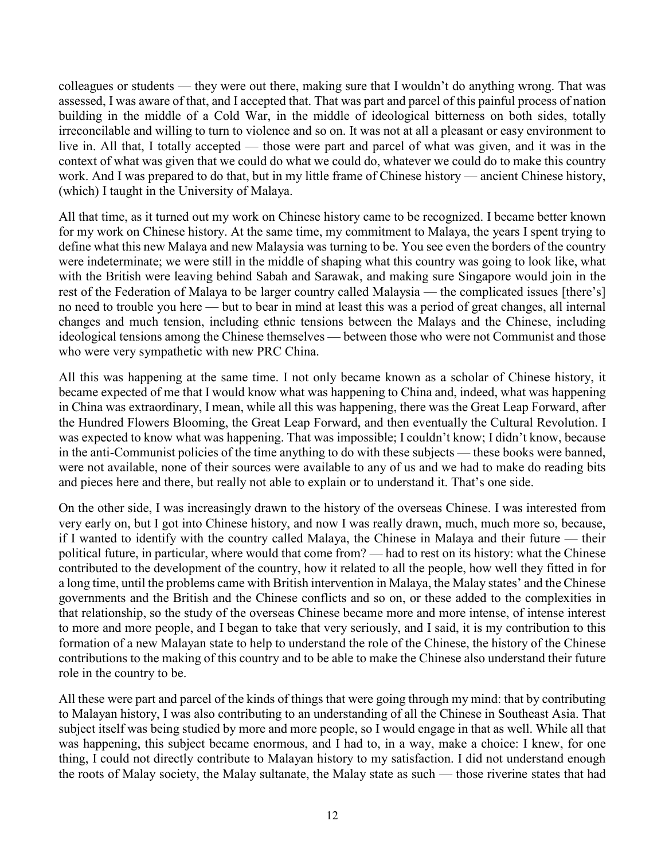colleagues or students — they were out there, making sure that I wouldn't do anything wrong. That was assessed, I was aware of that, and I accepted that. That was part and parcel of this painful process of nation building in the middle of a Cold War, in the middle of ideological bitterness on both sides, totally irreconcilable and willing to turn to violence and so on. It was not at all a pleasant or easy environment to live in. All that, I totally accepted — those were part and parcel of what was given, and it was in the context of what was given that we could do what we could do, whatever we could do to make this country work. And I was prepared to do that, but in my little frame of Chinese history — ancient Chinese history, (which) I taught in the University of Malaya.

All that time, as it turned out my work on Chinese history came to be recognized. I became better known for my work on Chinese history. At the same time, my commitment to Malaya, the years I spent trying to define what this new Malaya and new Malaysia was turning to be. You see even the borders of the country were indeterminate; we were still in the middle of shaping what this country was going to look like, what with the British were leaving behind Sabah and Sarawak, and making sure Singapore would join in the rest of the Federation of Malaya to be larger country called Malaysia — the complicated issues [there's] no need to trouble you here — but to bear in mind at least this was a period of great changes, all internal changes and much tension, including ethnic tensions between the Malays and the Chinese, including ideological tensions among the Chinese themselves — between those who were not Communist and those who were very sympathetic with new PRC China.

All this was happening at the same time. I not only became known as a scholar of Chinese history, it became expected of me that I would know what was happening to China and, indeed, what was happening in China was extraordinary, I mean, while all this was happening, there was the Great Leap Forward, after the Hundred Flowers Blooming, the Great Leap Forward, and then eventually the Cultural Revolution. I was expected to know what was happening. That was impossible; I couldn't know; I didn't know, because in the anti-Communist policies of the time anything to do with these subjects — these books were banned, were not available, none of their sources were available to any of us and we had to make do reading bits and pieces here and there, but really not able to explain or to understand it. That's one side.

On the other side, I was increasingly drawn to the history of the overseas Chinese. I was interested from very early on, but I got into Chinese history, and now I was really drawn, much, much more so, because, if I wanted to identify with the country called Malaya, the Chinese in Malaya and their future — their political future, in particular, where would that come from? — had to rest on its history: what the Chinese contributed to the development of the country, how it related to all the people, how well they fitted in for a long time, until the problems came with British intervention in Malaya, the Malay states' and the Chinese governments and the British and the Chinese conflicts and so on, or these added to the complexities in that relationship, so the study of the overseas Chinese became more and more intense, of intense interest to more and more people, and I began to take that very seriously, and I said, it is my contribution to this formation of a new Malayan state to help to understand the role of the Chinese, the history of the Chinese contributions to the making of this country and to be able to make the Chinese also understand their future role in the country to be.

All these were part and parcel of the kinds of things that were going through my mind: that by contributing to Malayan history, I was also contributing to an understanding of all the Chinese in Southeast Asia. That subject itself was being studied by more and more people, so I would engage in that as well. While all that was happening, this subject became enormous, and I had to, in a way, make a choice: I knew, for one thing, I could not directly contribute to Malayan history to my satisfaction. I did not understand enough the roots of Malay society, the Malay sultanate, the Malay state as such — those riverine states that had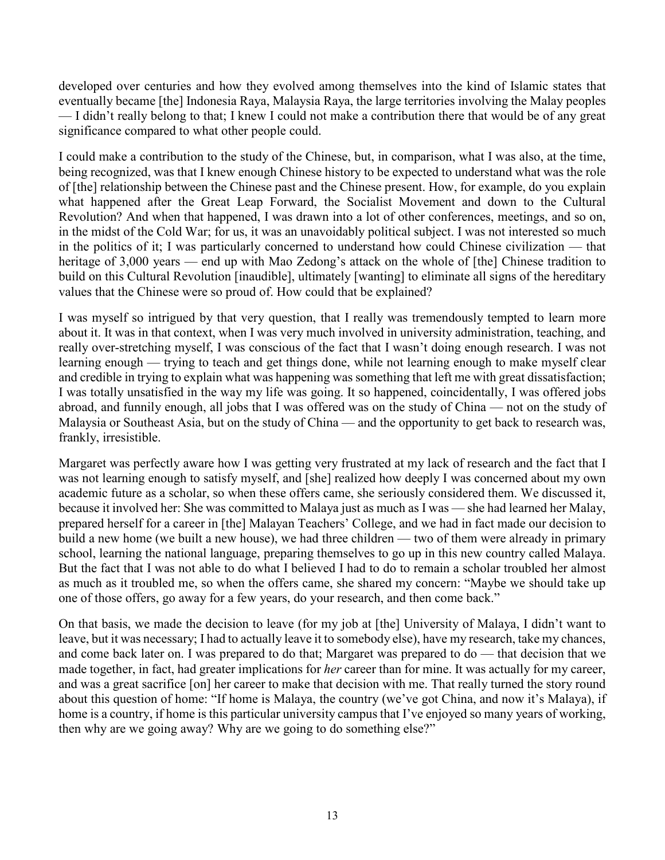developed over centuries and how they evolved among themselves into the kind of Islamic states that eventually became [the] Indonesia Raya, Malaysia Raya, the large territories involving the Malay peoples — I didn't really belong to that; I knew I could not make a contribution there that would be of any great significance compared to what other people could.

I could make a contribution to the study of the Chinese, but, in comparison, what I was also, at the time, being recognized, was that I knew enough Chinese history to be expected to understand what was the role of [the] relationship between the Chinese past and the Chinese present. How, for example, do you explain what happened after the Great Leap Forward, the Socialist Movement and down to the Cultural Revolution? And when that happened, I was drawn into a lot of other conferences, meetings, and so on, in the midst of the Cold War; for us, it was an unavoidably political subject. I was not interested so much in the politics of it; I was particularly concerned to understand how could Chinese civilization — that heritage of 3,000 years — end up with Mao Zedong's attack on the whole of [the] Chinese tradition to build on this Cultural Revolution [inaudible], ultimately [wanting] to eliminate all signs of the hereditary values that the Chinese were so proud of. How could that be explained?

I was myself so intrigued by that very question, that I really was tremendously tempted to learn more about it. It was in that context, when I was very much involved in university administration, teaching, and really over-stretching myself, I was conscious of the fact that I wasn't doing enough research. I was not learning enough — trying to teach and get things done, while not learning enough to make myself clear and credible in trying to explain what was happening was something that left me with great dissatisfaction; I was totally unsatisfied in the way my life was going. It so happened, coincidentally, I was offered jobs abroad, and funnily enough, all jobs that I was offered was on the study of China — not on the study of Malaysia or Southeast Asia, but on the study of China — and the opportunity to get back to research was, frankly, irresistible.

Margaret was perfectly aware how I was getting very frustrated at my lack of research and the fact that I was not learning enough to satisfy myself, and [she] realized how deeply I was concerned about my own academic future as a scholar, so when these offers came, she seriously considered them. We discussed it, because it involved her: She was committed to Malaya just as much as I was — she had learned her Malay, prepared herself for a career in [the] Malayan Teachers' College, and we had in fact made our decision to build a new home (we built a new house), we had three children — two of them were already in primary school, learning the national language, preparing themselves to go up in this new country called Malaya. But the fact that I was not able to do what I believed I had to do to remain a scholar troubled her almost as much as it troubled me, so when the offers came, she shared my concern: "Maybe we should take up one of those offers, go away for a few years, do your research, and then come back."

On that basis, we made the decision to leave (for my job at [the] University of Malaya, I didn't want to leave, but it was necessary; I had to actually leave it to somebody else), have my research, take my chances, and come back later on. I was prepared to do that; Margaret was prepared to do — that decision that we made together, in fact, had greater implications for *her* career than for mine. It was actually for my career, and was a great sacrifice [on] her career to make that decision with me. That really turned the story round about this question of home: "If home is Malaya, the country (we've got China, and now it's Malaya), if home is a country, if home is this particular university campus that I've enjoyed so many years of working, then why are we going away? Why are we going to do something else?"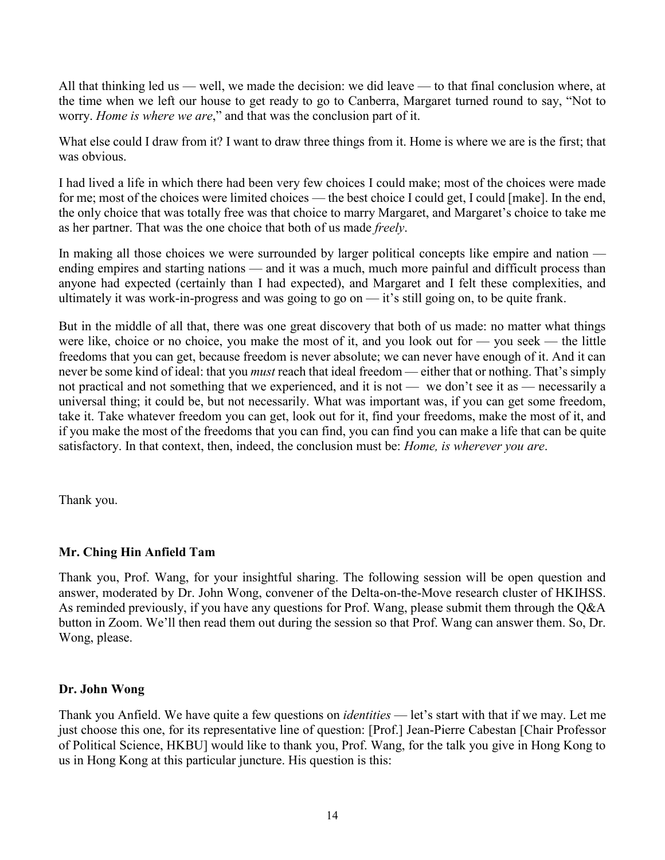All that thinking led us — well, we made the decision: we did leave — to that final conclusion where, at the time when we left our house to get ready to go to Canberra, Margaret turned round to say, "Not to worry. *Home is where we are*," and that was the conclusion part of it.

What else could I draw from it? I want to draw three things from it. Home is where we are is the first; that was obvious.

I had lived a life in which there had been very few choices I could make; most of the choices were made for me; most of the choices were limited choices — the best choice I could get, I could [make]. In the end, the only choice that was totally free was that choice to marry Margaret, and Margaret's choice to take me as her partner. That was the one choice that both of us made *freely*.

In making all those choices we were surrounded by larger political concepts like empire and nation ending empires and starting nations — and it was a much, much more painful and difficult process than anyone had expected (certainly than I had expected), and Margaret and I felt these complexities, and ultimately it was work-in-progress and was going to go on — it's still going on, to be quite frank.

But in the middle of all that, there was one great discovery that both of us made: no matter what things were like, choice or no choice, you make the most of it, and you look out for — you seek — the little freedoms that you can get, because freedom is never absolute; we can never have enough of it. And it can never be some kind of ideal: that you *must* reach that ideal freedom — either that or nothing. That's simply not practical and not something that we experienced, and it is not — we don't see it as — necessarily a universal thing; it could be, but not necessarily. What was important was, if you can get some freedom, take it. Take whatever freedom you can get, look out for it, find your freedoms, make the most of it, and if you make the most of the freedoms that you can find, you can find you can make a life that can be quite satisfactory. In that context, then, indeed, the conclusion must be: *Home, is wherever you are*.

Thank you.

### **Mr. Ching Hin Anfield Tam**

Thank you, Prof. Wang, for your insightful sharing. The following session will be open question and answer, moderated by Dr. John Wong, convener of the Delta-on-the-Move research cluster of HKIHSS. As reminded previously, if you have any questions for Prof. Wang, please submit them through the Q&A button in Zoom. We'll then read them out during the session so that Prof. Wang can answer them. So, Dr. Wong, please.

### **Dr. John Wong**

Thank you Anfield. We have quite a few questions on *identities* — let's start with that if we may. Let me just choose this one, for its representative line of question: [Prof.] Jean-Pierre Cabestan [Chair Professor of Political Science, HKBU] would like to thank you, Prof. Wang, for the talk you give in Hong Kong to us in Hong Kong at this particular juncture. His question is this: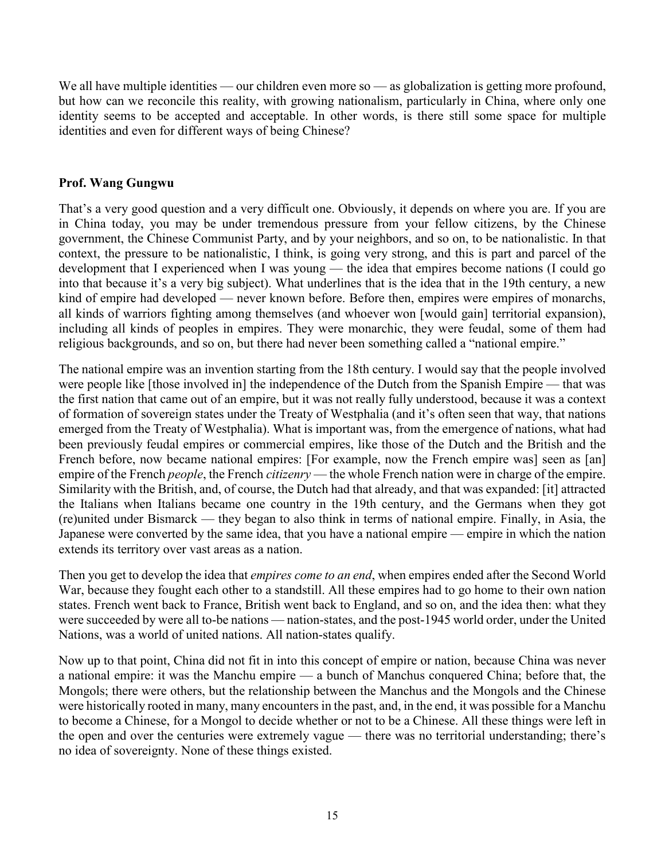We all have multiple identities — our children even more so — as globalization is getting more profound, but how can we reconcile this reality, with growing nationalism, particularly in China, where only one identity seems to be accepted and acceptable. In other words, is there still some space for multiple identities and even for different ways of being Chinese?

## **Prof. Wang Gungwu**

That's a very good question and a very difficult one. Obviously, it depends on where you are. If you are in China today, you may be under tremendous pressure from your fellow citizens, by the Chinese government, the Chinese Communist Party, and by your neighbors, and so on, to be nationalistic. In that context, the pressure to be nationalistic, I think, is going very strong, and this is part and parcel of the development that I experienced when I was young — the idea that empires become nations (I could go into that because it's a very big subject). What underlines that is the idea that in the 19th century, a new kind of empire had developed — never known before. Before then, empires were empires of monarchs, all kinds of warriors fighting among themselves (and whoever won [would gain] territorial expansion), including all kinds of peoples in empires. They were monarchic, they were feudal, some of them had religious backgrounds, and so on, but there had never been something called a "national empire."

The national empire was an invention starting from the 18th century. I would say that the people involved were people like [those involved in] the independence of the Dutch from the Spanish Empire — that was the first nation that came out of an empire, but it was not really fully understood, because it was a context of formation of sovereign states under the Treaty of Westphalia (and it's often seen that way, that nations emerged from the Treaty of Westphalia). What is important was, from the emergence of nations, what had been previously feudal empires or commercial empires, like those of the Dutch and the British and the French before, now became national empires: [For example, now the French empire was] seen as [an] empire of the French *people*, the French *citizenry* — the whole French nation were in charge of the empire. Similarity with the British, and, of course, the Dutch had that already, and that was expanded: [it] attracted the Italians when Italians became one country in the 19th century, and the Germans when they got (re)united under Bismarck — they began to also think in terms of national empire. Finally, in Asia, the Japanese were converted by the same idea, that you have a national empire — empire in which the nation extends its territory over vast areas as a nation.

Then you get to develop the idea that *empires come to an end*, when empires ended after the Second World War, because they fought each other to a standstill. All these empires had to go home to their own nation states. French went back to France, British went back to England, and so on, and the idea then: what they were succeeded by were all to-be nations — nation-states, and the post-1945 world order, under the United Nations, was a world of united nations. All nation-states qualify.

Now up to that point, China did not fit in into this concept of empire or nation, because China was never a national empire: it was the Manchu empire — a bunch of Manchus conquered China; before that, the Mongols; there were others, but the relationship between the Manchus and the Mongols and the Chinese were historically rooted in many, many encounters in the past, and, in the end, it was possible for a Manchu to become a Chinese, for a Mongol to decide whether or not to be a Chinese. All these things were left in the open and over the centuries were extremely vague — there was no territorial understanding; there's no idea of sovereignty. None of these things existed.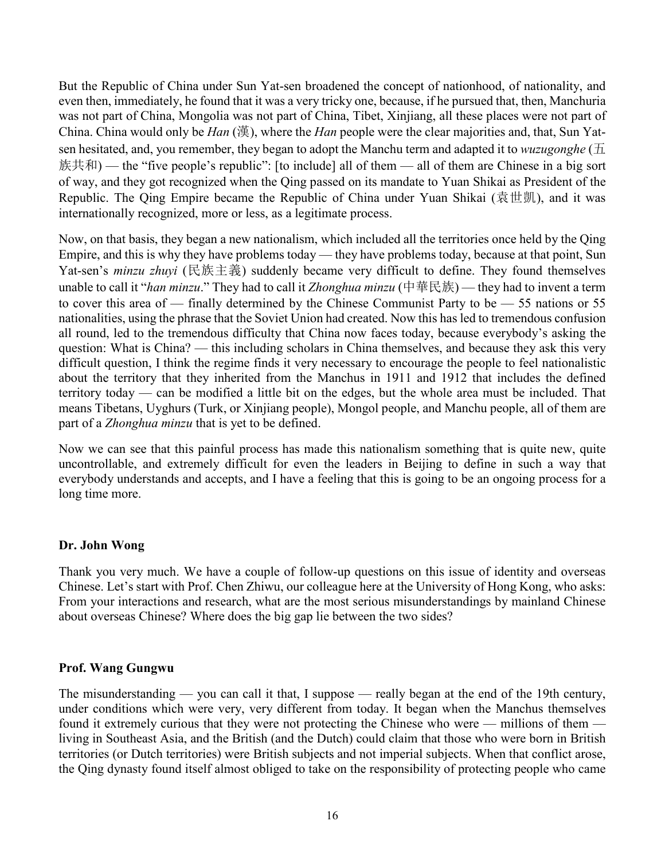But the Republic of China under Sun Yat-sen broadened the concept of nationhood, of nationality, and even then, immediately, he found that it was a very tricky one, because, if he pursued that, then, Manchuria was not part of China, Mongolia was not part of China, Tibet, Xinjiang, all these places were not part of China. China would only be *Han* (漢), where the *Han* people were the clear majorities and, that, Sun Yatsen hesitated, and, you remember, they began to adopt the Manchu term and adapted it to *wuzugonghe* (五 族共和) — the "five people's republic": [to include] all of them — all of them are Chinese in a big sort of way, and they got recognized when the Qing passed on its mandate to Yuan Shikai as President of the Republic. The Qing Empire became the Republic of China under Yuan Shikai (袁世凱), and it was internationally recognized, more or less, as a legitimate process.

Now, on that basis, they began a new nationalism, which included all the territories once held by the Qing Empire, and this is why they have problems today — they have problems today, because at that point, Sun Yat-sen's *minzu zhuyi* (民族主義) suddenly became very difficult to define. They found themselves unable to call it "*han minzu*." They had to call it *Zhonghua minzu* (中華民族) — they had to invent a term to cover this area of — finally determined by the Chinese Communist Party to be — 55 nations or 55 nationalities, using the phrase that the Soviet Union had created. Now this has led to tremendous confusion all round, led to the tremendous difficulty that China now faces today, because everybody's asking the question: What is China? — this including scholars in China themselves, and because they ask this very difficult question, I think the regime finds it very necessary to encourage the people to feel nationalistic about the territory that they inherited from the Manchus in 1911 and 1912 that includes the defined territory today — can be modified a little bit on the edges, but the whole area must be included. That means Tibetans, Uyghurs (Turk, or Xinjiang people), Mongol people, and Manchu people, all of them are part of a *Zhonghua minzu* that is yet to be defined.

Now we can see that this painful process has made this nationalism something that is quite new, quite uncontrollable, and extremely difficult for even the leaders in Beijing to define in such a way that everybody understands and accepts, and I have a feeling that this is going to be an ongoing process for a long time more.

### **Dr. John Wong**

Thank you very much. We have a couple of follow-up questions on this issue of identity and overseas Chinese. Let's start with Prof. Chen Zhiwu, our colleague here at the University of Hong Kong, who asks: From your interactions and research, what are the most serious misunderstandings by mainland Chinese about overseas Chinese? Where does the big gap lie between the two sides?

# **Prof. Wang Gungwu**

The misunderstanding — you can call it that, I suppose — really began at the end of the 19th century, under conditions which were very, very different from today. It began when the Manchus themselves found it extremely curious that they were not protecting the Chinese who were — millions of them living in Southeast Asia, and the British (and the Dutch) could claim that those who were born in British territories (or Dutch territories) were British subjects and not imperial subjects. When that conflict arose, the Qing dynasty found itself almost obliged to take on the responsibility of protecting people who came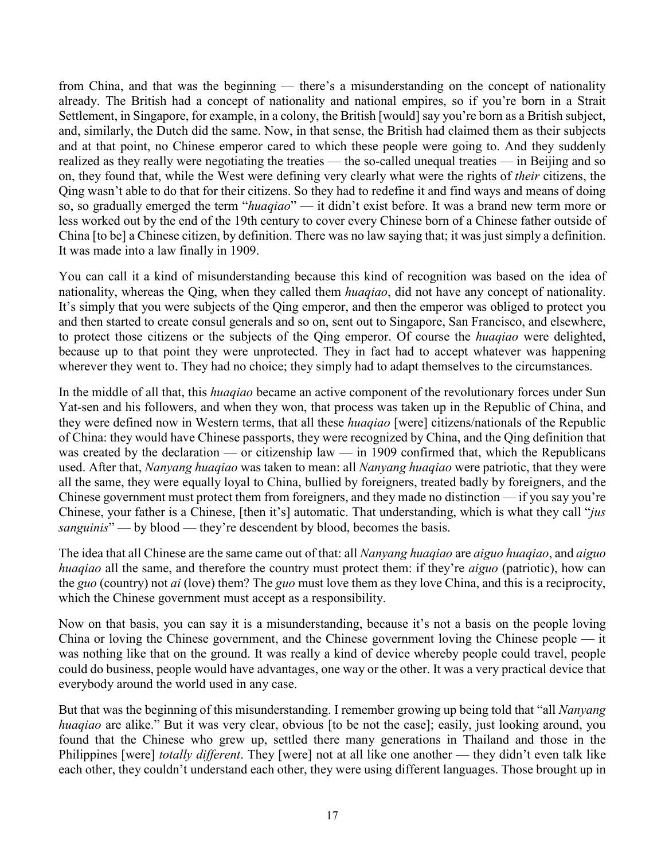from China, and that was the beginning — there's a misunderstanding on the concept of nationality already. The British had a concept of nationality and national empires, so if you're born in a Strait Settlement, in Singapore, for example, in a colony, the British [would] say you're born as a British subject, and, similarly, the Dutch did the same. Now, in that sense, the British had claimed them as their subjects and at that point, no Chinese emperor cared to which these people were going to. And they suddenly realized as they really were negotiating the treaties — the so-called unequal treaties — in Beijing and so on, they found that, while the West were defining very clearly what were the rights of *their* citizens, the Qing wasn't able to do that for their citizens. So they had to redefine it and find ways and means of doing so, so gradually emerged the term "*huaqiao*" — it didn't exist before. It was a brand new term more or less worked out by the end of the 19th century to cover every Chinese born of a Chinese father outside of China [to be] a Chinese citizen, by definition. There was no law saying that; it was just simply a definition. It was made into a law finally in 1909.

You can call it a kind of misunderstanding because this kind of recognition was based on the idea of nationality, whereas the Qing, when they called them *huaqiao*, did not have any concept of nationality. It's simply that you were subjects of the Qing emperor, and then the emperor was obliged to protect you and then started to create consul generals and so on, sent out to Singapore, San Francisco, and elsewhere, to protect those citizens or the subjects of the Qing emperor. Of course the *huaqiao* were delighted, because up to that point they were unprotected. They in fact had to accept whatever was happening wherever they went to. They had no choice; they simply had to adapt themselves to the circumstances.

In the middle of all that, this *huaqiao* became an active component of the revolutionary forces under Sun Yat-sen and his followers, and when they won, that process was taken up in the Republic of China, and they were defined now in Western terms, that all these *huaqiao* [were] citizens/nationals of the Republic of China: they would have Chinese passports, they were recognized by China, and the Qing definition that was created by the declaration — or citizenship law — in 1909 confirmed that, which the Republicans used. After that, *Nanyang huaqiao* was taken to mean: all *Nanyang huaqiao* were patriotic, that they were all the same, they were equally loyal to China, bullied by foreigners, treated badly by foreigners, and the Chinese government must protect them from foreigners, and they made no distinction — if you say you're Chinese, your father is a Chinese, [then it's] automatic. That understanding, which is what they call "*jus sanguinis*" — by blood — they're descendent by blood, becomes the basis.

The idea that all Chinese are the same came out of that: all *Nanyang huaqiao* are *aiguo huaqiao*, and *aiguo huaqiao* all the same, and therefore the country must protect them: if they're *aiguo* (patriotic), how can the *guo* (country) not *ai* (love) them? The *guo* must love them as they love China, and this is a reciprocity, which the Chinese government must accept as a responsibility.

Now on that basis, you can say it is a misunderstanding, because it's not a basis on the people loving China or loving the Chinese government, and the Chinese government loving the Chinese people — it was nothing like that on the ground. It was really a kind of device whereby people could travel, people could do business, people would have advantages, one way or the other. It was a very practical device that everybody around the world used in any case.

But that was the beginning of this misunderstanding. I remember growing up being told that "all *Nanyang huaqiao* are alike." But it was very clear, obvious [to be not the case]; easily, just looking around, you found that the Chinese who grew up, settled there many generations in Thailand and those in the Philippines [were] *totally different*. They [were] not at all like one another — they didn't even talk like each other, they couldn't understand each other, they were using different languages. Those brought up in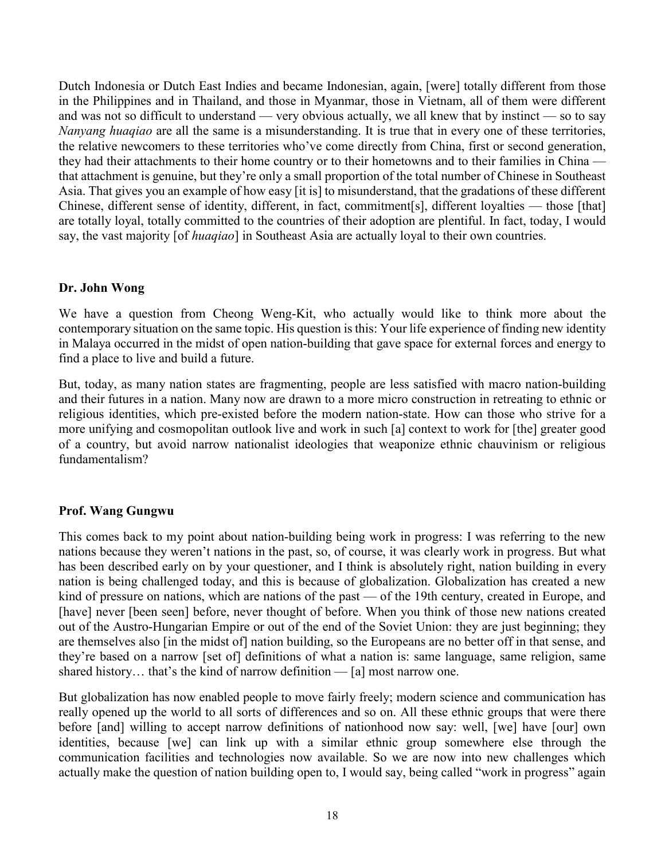Dutch Indonesia or Dutch East Indies and became Indonesian, again, [were] totally different from those in the Philippines and in Thailand, and those in Myanmar, those in Vietnam, all of them were different and was not so difficult to understand — very obvious actually, we all knew that by instinct — so to say *Nanyang huaqiao* are all the same is a misunderstanding. It is true that in every one of these territories, the relative newcomers to these territories who've come directly from China, first or second generation, they had their attachments to their home country or to their hometowns and to their families in China that attachment is genuine, but they're only a small proportion of the total number of Chinese in Southeast Asia. That gives you an example of how easy [it is] to misunderstand, that the gradations of these different Chinese, different sense of identity, different, in fact, commitment[s], different loyalties — those [that] are totally loyal, totally committed to the countries of their adoption are plentiful. In fact, today, I would say, the vast majority [of *huaqiao*] in Southeast Asia are actually loyal to their own countries.

## **Dr. John Wong**

We have a question from Cheong Weng-Kit, who actually would like to think more about the contemporary situation on the same topic. His question isthis: Your life experience of finding new identity in Malaya occurred in the midst of open nation-building that gave space for external forces and energy to find a place to live and build a future.

But, today, as many nation states are fragmenting, people are less satisfied with macro nation-building and their futures in a nation. Many now are drawn to a more micro construction in retreating to ethnic or religious identities, which pre-existed before the modern nation-state. How can those who strive for a more unifying and cosmopolitan outlook live and work in such [a] context to work for [the] greater good of a country, but avoid narrow nationalist ideologies that weaponize ethnic chauvinism or religious fundamentalism?

# **Prof. Wang Gungwu**

This comes back to my point about nation-building being work in progress: I was referring to the new nations because they weren't nations in the past, so, of course, it was clearly work in progress. But what has been described early on by your questioner, and I think is absolutely right, nation building in every nation is being challenged today, and this is because of globalization. Globalization has created a new kind of pressure on nations, which are nations of the past — of the 19th century, created in Europe, and [have] never [been seen] before, never thought of before. When you think of those new nations created out of the Austro-Hungarian Empire or out of the end of the Soviet Union: they are just beginning; they are themselves also [in the midst of] nation building, so the Europeans are no better off in that sense, and they're based on a narrow [set of] definitions of what a nation is: same language, same religion, same shared history… that's the kind of narrow definition — [a] most narrow one.

But globalization has now enabled people to move fairly freely; modern science and communication has really opened up the world to all sorts of differences and so on. All these ethnic groups that were there before [and] willing to accept narrow definitions of nationhood now say: well, [we] have [our] own identities, because [we] can link up with a similar ethnic group somewhere else through the communication facilities and technologies now available. So we are now into new challenges which actually make the question of nation building open to, I would say, being called "work in progress" again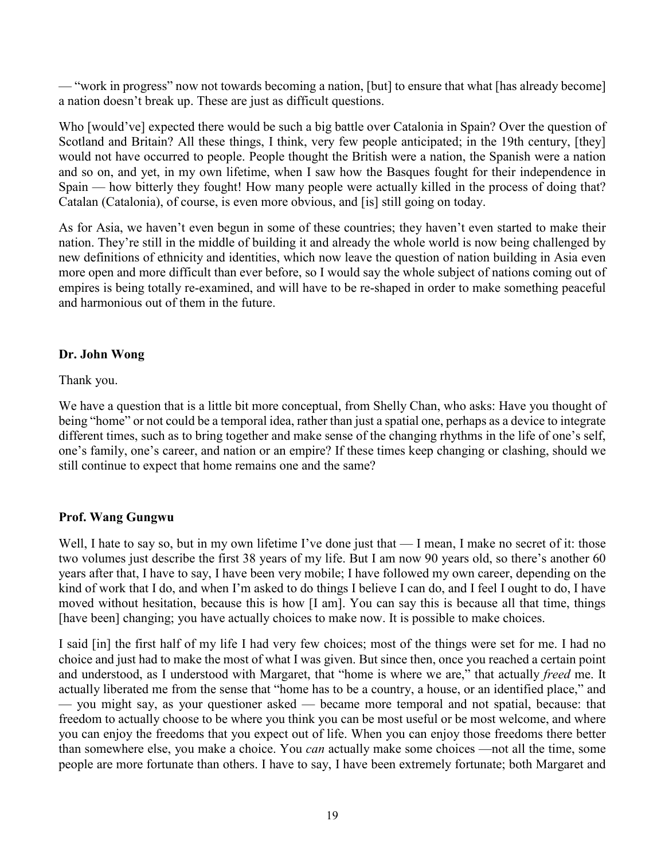— "work in progress" now not towards becoming a nation, [but] to ensure that what [has already become] a nation doesn't break up. These are just as difficult questions.

Who [would've] expected there would be such a big battle over Catalonia in Spain? Over the question of Scotland and Britain? All these things, I think, very few people anticipated; in the 19th century, [they] would not have occurred to people. People thought the British were a nation, the Spanish were a nation and so on, and yet, in my own lifetime, when I saw how the Basques fought for their independence in Spain — how bitterly they fought! How many people were actually killed in the process of doing that? Catalan (Catalonia), of course, is even more obvious, and [is] still going on today.

As for Asia, we haven't even begun in some of these countries; they haven't even started to make their nation. They're still in the middle of building it and already the whole world is now being challenged by new definitions of ethnicity and identities, which now leave the question of nation building in Asia even more open and more difficult than ever before, so I would say the whole subject of nations coming out of empires is being totally re-examined, and will have to be re-shaped in order to make something peaceful and harmonious out of them in the future.

# **Dr. John Wong**

Thank you.

We have a question that is a little bit more conceptual, from Shelly Chan, who asks: Have you thought of being "home" or not could be a temporal idea, rather than just a spatial one, perhaps as a device to integrate different times, such as to bring together and make sense of the changing rhythms in the life of one's self, one's family, one's career, and nation or an empire? If these times keep changing or clashing, should we still continue to expect that home remains one and the same?

# **Prof. Wang Gungwu**

Well, I hate to say so, but in my own lifetime I've done just that — I mean, I make no secret of it: those two volumes just describe the first 38 years of my life. But I am now 90 years old, so there's another 60 years after that, I have to say, I have been very mobile; I have followed my own career, depending on the kind of work that I do, and when I'm asked to do things I believe I can do, and I feel I ought to do, I have moved without hesitation, because this is how [I am]. You can say this is because all that time, things [have been] changing; you have actually choices to make now. It is possible to make choices.

I said [in] the first half of my life I had very few choices; most of the things were set for me. I had no choice and just had to make the most of what I was given. But since then, once you reached a certain point and understood, as I understood with Margaret, that "home is where we are," that actually *freed* me. It actually liberated me from the sense that "home has to be a country, a house, or an identified place," and — you might say, as your questioner asked — became more temporal and not spatial, because: that freedom to actually choose to be where you think you can be most useful or be most welcome, and where you can enjoy the freedoms that you expect out of life. When you can enjoy those freedoms there better than somewhere else, you make a choice. You *can* actually make some choices —not all the time, some people are more fortunate than others. I have to say, I have been extremely fortunate; both Margaret and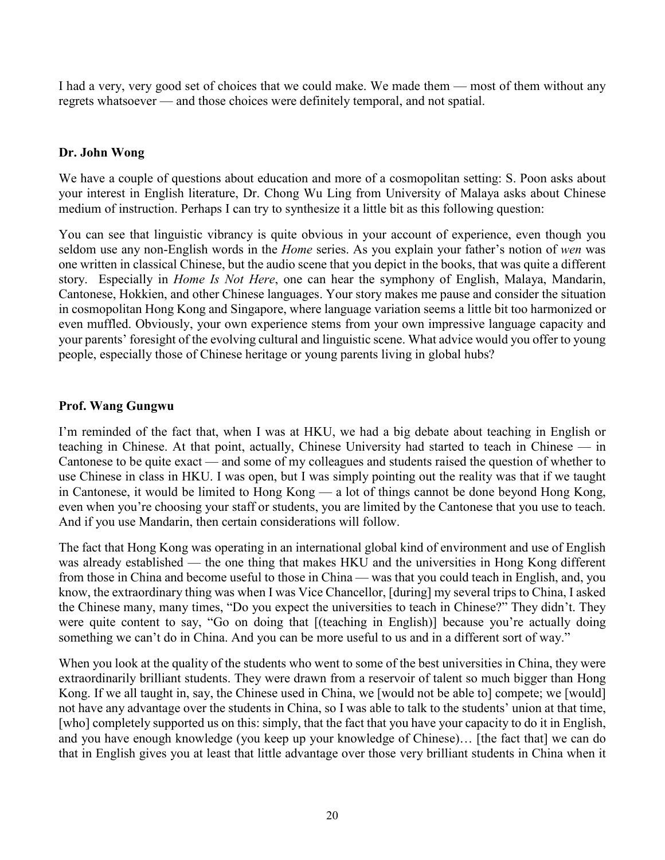I had a very, very good set of choices that we could make. We made them — most of them without any regrets whatsoever — and those choices were definitely temporal, and not spatial.

## **Dr. John Wong**

We have a couple of questions about education and more of a cosmopolitan setting: S. Poon asks about your interest in English literature, Dr. Chong Wu Ling from University of Malaya asks about Chinese medium of instruction. Perhaps I can try to synthesize it a little bit as this following question:

You can see that linguistic vibrancy is quite obvious in your account of experience, even though you seldom use any non-English words in the *Home* series. As you explain your father's notion of *wen* was one written in classical Chinese, but the audio scene that you depict in the books, that was quite a different story. Especially in *Home Is Not Here*, one can hear the symphony of English, Malaya, Mandarin, Cantonese, Hokkien, and other Chinese languages. Your story makes me pause and consider the situation in cosmopolitan Hong Kong and Singapore, where language variation seems a little bit too harmonized or even muffled. Obviously, your own experience stems from your own impressive language capacity and your parents' foresight of the evolving cultural and linguistic scene. What advice would you offer to young people, especially those of Chinese heritage or young parents living in global hubs?

## **Prof. Wang Gungwu**

I'm reminded of the fact that, when I was at HKU, we had a big debate about teaching in English or teaching in Chinese. At that point, actually, Chinese University had started to teach in Chinese — in Cantonese to be quite exact — and some of my colleagues and students raised the question of whether to use Chinese in class in HKU. I was open, but I was simply pointing out the reality was that if we taught in Cantonese, it would be limited to Hong Kong — a lot of things cannot be done beyond Hong Kong, even when you're choosing your staff or students, you are limited by the Cantonese that you use to teach. And if you use Mandarin, then certain considerations will follow.

The fact that Hong Kong was operating in an international global kind of environment and use of English was already established — the one thing that makes HKU and the universities in Hong Kong different from those in China and become useful to those in China — was that you could teach in English, and, you know, the extraordinary thing was when I was Vice Chancellor, [during] my several trips to China, I asked the Chinese many, many times, "Do you expect the universities to teach in Chinese?" They didn't. They were quite content to say, "Go on doing that [(teaching in English)] because you're actually doing something we can't do in China. And you can be more useful to us and in a different sort of way."

When you look at the quality of the students who went to some of the best universities in China, they were extraordinarily brilliant students. They were drawn from a reservoir of talent so much bigger than Hong Kong. If we all taught in, say, the Chinese used in China, we [would not be able to] compete; we [would] not have any advantage over the students in China, so I was able to talk to the students' union at that time, [who] completely supported us on this: simply, that the fact that you have your capacity to do it in English, and you have enough knowledge (you keep up your knowledge of Chinese)… [the fact that] we can do that in English gives you at least that little advantage over those very brilliant students in China when it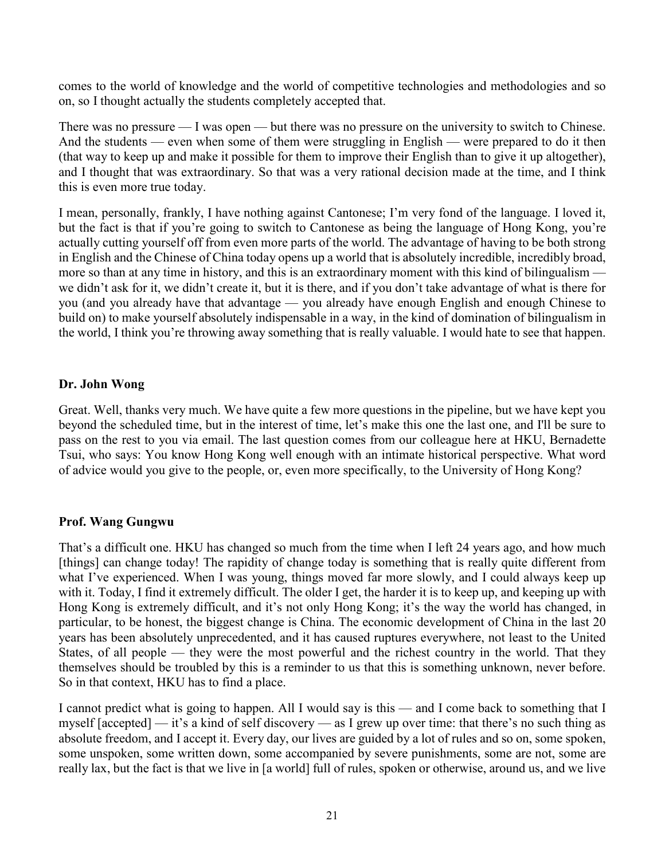comes to the world of knowledge and the world of competitive technologies and methodologies and so on, so I thought actually the students completely accepted that.

There was no pressure — I was open — but there was no pressure on the university to switch to Chinese. And the students — even when some of them were struggling in English — were prepared to do it then (that way to keep up and make it possible for them to improve their English than to give it up altogether), and I thought that was extraordinary. So that was a very rational decision made at the time, and I think this is even more true today.

I mean, personally, frankly, I have nothing against Cantonese; I'm very fond of the language. I loved it, but the fact is that if you're going to switch to Cantonese as being the language of Hong Kong, you're actually cutting yourself off from even more parts of the world. The advantage of having to be both strong in English and the Chinese of China today opens up a world that is absolutely incredible, incredibly broad, more so than at any time in history, and this is an extraordinary moment with this kind of bilingualism we didn't ask for it, we didn't create it, but it is there, and if you don't take advantage of what is there for you (and you already have that advantage — you already have enough English and enough Chinese to build on) to make yourself absolutely indispensable in a way, in the kind of domination of bilingualism in the world, I think you're throwing away something that is really valuable. I would hate to see that happen.

## **Dr. John Wong**

Great. Well, thanks very much. We have quite a few more questions in the pipeline, but we have kept you beyond the scheduled time, but in the interest of time, let's make this one the last one, and I'll be sure to pass on the rest to you via email. The last question comes from our colleague here at HKU, Bernadette Tsui, who says: You know Hong Kong well enough with an intimate historical perspective. What word of advice would you give to the people, or, even more specifically, to the University of Hong Kong?

# **Prof. Wang Gungwu**

That's a difficult one. HKU has changed so much from the time when I left 24 years ago, and how much [things] can change today! The rapidity of change today is something that is really quite different from what I've experienced. When I was young, things moved far more slowly, and I could always keep up with it. Today, I find it extremely difficult. The older I get, the harder it is to keep up, and keeping up with Hong Kong is extremely difficult, and it's not only Hong Kong; it's the way the world has changed, in particular, to be honest, the biggest change is China. The economic development of China in the last 20 years has been absolutely unprecedented, and it has caused ruptures everywhere, not least to the United States, of all people — they were the most powerful and the richest country in the world. That they themselves should be troubled by this is a reminder to us that this is something unknown, never before. So in that context, HKU has to find a place.

I cannot predict what is going to happen. All I would say is this — and I come back to something that I myself [accepted] — it's a kind of self discovery — as I grew up over time: that there's no such thing as absolute freedom, and I accept it. Every day, our lives are guided by a lot of rules and so on, some spoken, some unspoken, some written down, some accompanied by severe punishments, some are not, some are really lax, but the fact is that we live in [a world] full of rules, spoken or otherwise, around us, and we live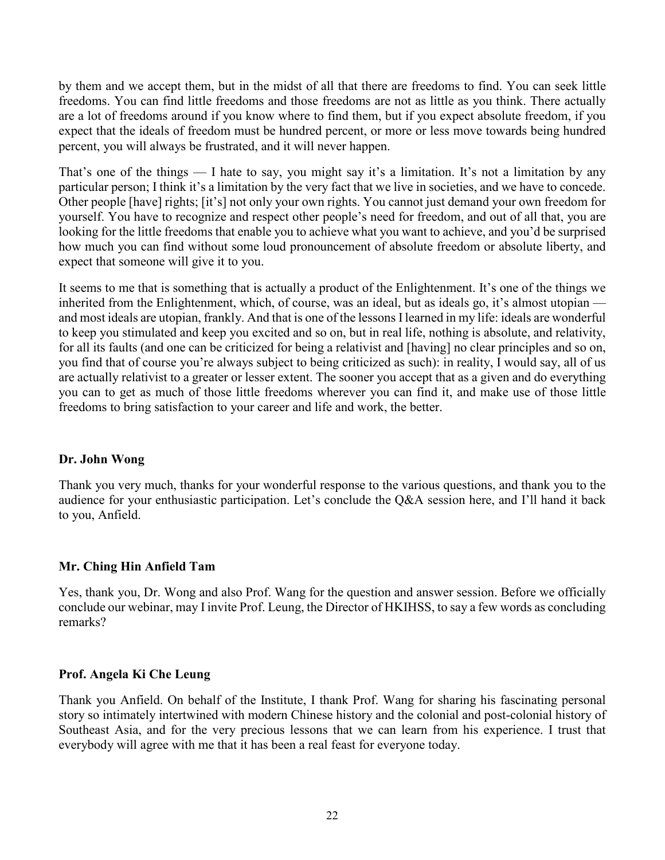by them and we accept them, but in the midst of all that there are freedoms to find. You can seek little freedoms. You can find little freedoms and those freedoms are not as little as you think. There actually are a lot of freedoms around if you know where to find them, but if you expect absolute freedom, if you expect that the ideals of freedom must be hundred percent, or more or less move towards being hundred percent, you will always be frustrated, and it will never happen.

That's one of the things  $\overline{a}$  and  $\overline{b}$  are to say, you might say it's a limitation. It's not a limitation by any particular person; I think it's a limitation by the very fact that we live in societies, and we have to concede. Other people [have] rights; [it's] not only your own rights. You cannot just demand your own freedom for yourself. You have to recognize and respect other people's need for freedom, and out of all that, you are looking for the little freedoms that enable you to achieve what you want to achieve, and you'd be surprised how much you can find without some loud pronouncement of absolute freedom or absolute liberty, and expect that someone will give it to you.

It seems to me that is something that is actually a product of the Enlightenment. It's one of the things we inherited from the Enlightenment, which, of course, was an ideal, but as ideals go, it's almost utopian and most ideals are utopian, frankly. And that is one of the lessons I learned in my life: ideals are wonderful to keep you stimulated and keep you excited and so on, but in real life, nothing is absolute, and relativity, for all its faults (and one can be criticized for being a relativist and [having] no clear principles and so on, you find that of course you're always subject to being criticized as such): in reality, I would say, all of us are actually relativist to a greater or lesser extent. The sooner you accept that as a given and do everything you can to get as much of those little freedoms wherever you can find it, and make use of those little freedoms to bring satisfaction to your career and life and work, the better.

### **Dr. John Wong**

Thank you very much, thanks for your wonderful response to the various questions, and thank you to the audience for your enthusiastic participation. Let's conclude the Q&A session here, and I'll hand it back to you, Anfield.

### **Mr. Ching Hin Anfield Tam**

Yes, thank you, Dr. Wong and also Prof. Wang for the question and answer session. Before we officially conclude our webinar, may I invite Prof. Leung, the Director of HKIHSS, to say a few words as concluding remarks?

# **Prof. Angela Ki Che Leung**

Thank you Anfield. On behalf of the Institute, I thank Prof. Wang for sharing his fascinating personal story so intimately intertwined with modern Chinese history and the colonial and post-colonial history of Southeast Asia, and for the very precious lessons that we can learn from his experience. I trust that everybody will agree with me that it has been a real feast for everyone today.